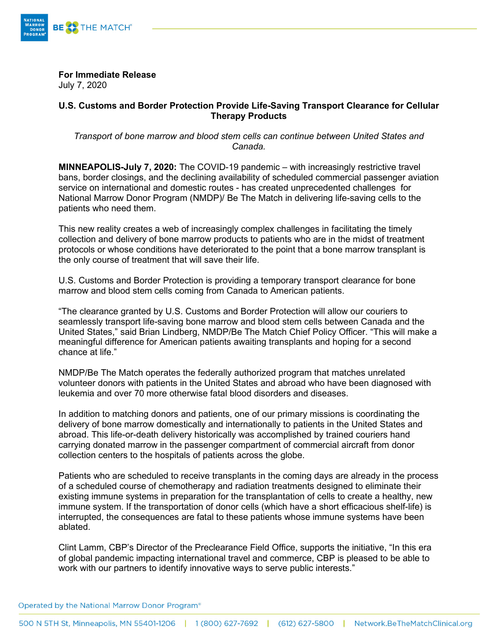

**For Immediate Release** July 7, 2020

## **U.S. Customs and Border Protection Provide Life-Saving Transport Clearance for Cellular Therapy Products**

*Transport of bone marrow and blood stem cells can continue between United States and Canada.* 

**MINNEAPOLIS-July 7, 2020:** The COVID-19 pandemic – with increasingly restrictive travel bans, border closings, and the declining availability of scheduled commercial passenger aviation service on international and domestic routes - has created unprecedented challenges for National Marrow Donor Program (NMDP)/ Be The Match in delivering life-saving cells to the patients who need them.

This new reality creates a web of increasingly complex challenges in facilitating the timely collection and delivery of bone marrow products to patients who are in the midst of treatment protocols or whose conditions have deteriorated to the point that a bone marrow transplant is the only course of treatment that will save their life.

U.S. Customs and Border Protection is providing a temporary transport clearance for bone marrow and blood stem cells coming from Canada to American patients.

"The clearance granted by U.S. Customs and Border Protection will allow our couriers to seamlessly transport life-saving bone marrow and blood stem cells between Canada and the United States," said Brian Lindberg, NMDP/Be The Match Chief Policy Officer. "This will make a meaningful difference for American patients awaiting transplants and hoping for a second chance at life."

NMDP/Be The Match operates the federally authorized program that matches unrelated volunteer donors with patients in the United States and abroad who have been diagnosed with leukemia and over 70 more otherwise fatal blood disorders and diseases.

In addition to matching donors and patients, one of our primary missions is coordinating the delivery of bone marrow domestically and internationally to patients in the United States and abroad. This life-or-death delivery historically was accomplished by trained couriers hand carrying donated marrow in the passenger compartment of commercial aircraft from donor collection centers to the hospitals of patients across the globe.

Patients who are scheduled to receive transplants in the coming days are already in the process of a scheduled course of chemotherapy and radiation treatments designed to eliminate their existing immune systems in preparation for the transplantation of cells to create a healthy, new immune system. If the transportation of donor cells (which have a short efficacious shelf-life) is interrupted, the consequences are fatal to these patients whose immune systems have been ablated.

Clint Lamm, CBP's Director of the Preclearance Field Office, supports the initiative, "In this era of global pandemic impacting international travel and commerce, CBP is pleased to be able to work with our partners to identify innovative ways to serve public interests."

Operated by the National Marrow Donor Program<sup>®</sup>